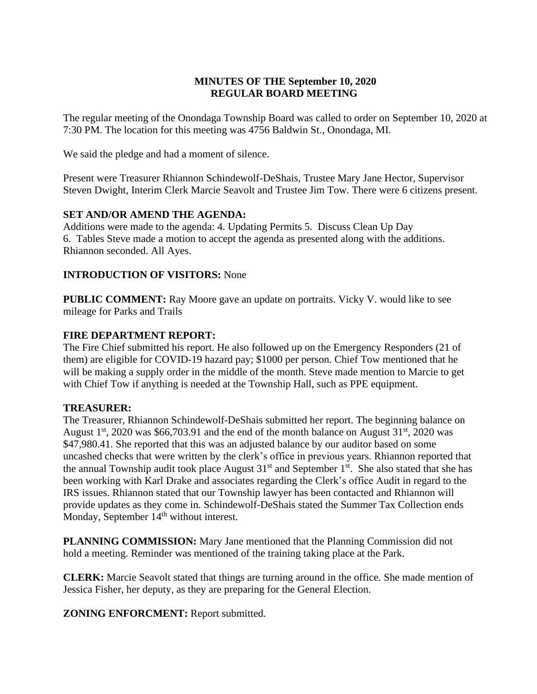# **MINUTES OF THE September 10, 2020 REGULAR BOARD MEETING**

The regular meeting of the Onondaga Township Board was called to order on September 10, 2020 at 7:30 PM. The location for this meeting was 4756 Baldwin St., Onondaga, MI.

We said the pledge and had a moment of silence.

Present were Treasurer Rhiannon Schindewolf-DeShais, Trustee Mary Jane Hector, Supervisor Steven Dwight, Interim Clerk Marcie Seavolt and Trustee Jim Tow. There were 6 citizens present.

## **SET AND/OR AMEND THE AGENDA:**

Additions were made to the agenda: 4. Updating Permits 5. Discuss Clean Up Day 6. Tables Steve made a motion to accept the agenda as presented along with the additions. Rhiannon seconded. All Ayes.

## **INTRODUCTION OF VISITORS:** None

**PUBLIC COMMENT:** Ray Moore gave an update on portraits. Vicky V. would like to see mileage for Parks and Trails

## **FIRE DEPARTMENT REPORT:**

The Fire Chief submitted his report. He also followed up on the Emergency Responders (21 of them) are eligible for COVID-19 hazard pay; \$1000 per person. Chief Tow mentioned that he will be making a supply order in the middle of the month. Steve made mention to Marcie to get with Chief Tow if anything is needed at the Township Hall, such as PPE equipment.

## **TREASURER:**

The Treasurer, Rhiannon Schindewolf-DeShais submitted her report. The beginning balance on August  $1<sup>st</sup>$ , 2020 was \$66,703.91 and the end of the month balance on August  $31<sup>st</sup>$ , 2020 was \$47,980.41. She reported that this was an adjusted balance by our auditor based on some uncashed checks that were written by the clerk's office in previous years. Rhiannon reported that the annual Township audit took place August  $31<sup>st</sup>$  and September  $1<sup>st</sup>$ . She also stated that she has been working with Karl Drake and associates regarding the Clerk's office Audit in regard to the IRS issues. Rhiannon stated that our Township lawyer has been contacted and Rhiannon will provide updates as they come in. Schindewolf-DeShais stated the Summer Tax Collection ends Monday, September 14<sup>th</sup> without interest.

**PLANNING COMMISSION:** Mary Jane mentioned that the Planning Commission did not hold a meeting. Reminder was mentioned of the training taking place at the Park.

**CLERK:** Marcie Seavolt stated that things are turning around in the office. She made mention of Jessica Fisher, her deputy, as they are preparing for the General Election.

**ZONING ENFORCMENT:** Report submitted.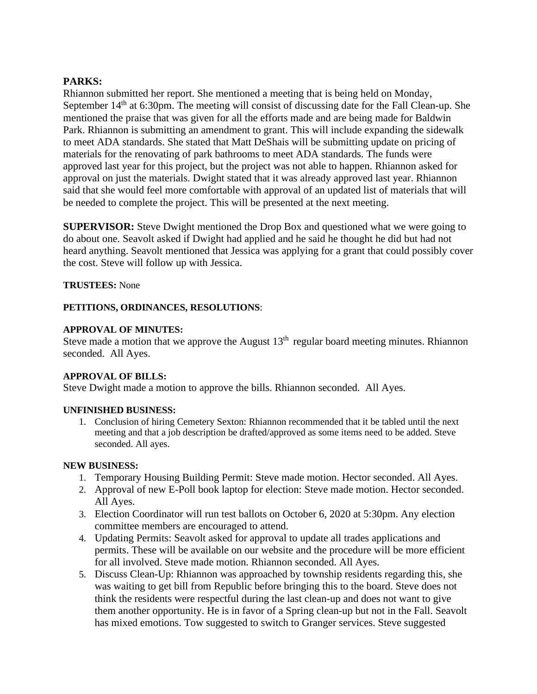## **PARKS:**

Rhiannon submitted her report. She mentioned a meeting that is being held on Monday, September 14<sup>th</sup> at 6:30pm. The meeting will consist of discussing date for the Fall Clean-up. She mentioned the praise that was given for all the efforts made and are being made for Baldwin Park. Rhiannon is submitting an amendment to grant. This will include expanding the sidewalk to meet ADA standards. She stated that Matt DeShais will be submitting update on pricing of materials for the renovating of park bathrooms to meet ADA standards. The funds were approved last year for this project, but the project was not able to happen. Rhiannon asked for approval on just the materials. Dwight stated that it was already approved last year. Rhiannon said that she would feel more comfortable with approval of an updated list of materials that will be needed to complete the project. This will be presented at the next meeting.

**SUPERVISOR:** Steve Dwight mentioned the Drop Box and questioned what we were going to do about one. Seavolt asked if Dwight had applied and he said he thought he did but had not heard anything. Seavolt mentioned that Jessica was applying for a grant that could possibly cover the cost. Steve will follow up with Jessica.

**TRUSTEES:** None

## **PETITIONS, ORDINANCES, RESOLUTIONS**:

#### **APPROVAL OF MINUTES:**

Steve made a motion that we approve the August  $13<sup>th</sup>$  regular board meeting minutes. Rhiannon seconded. All Ayes.

## **APPROVAL OF BILLS:**

Steve Dwight made a motion to approve the bills. Rhiannon seconded. All Ayes.

## **UNFINISHED BUSINESS:**

1. Conclusion of hiring Cemetery Sexton: Rhiannon recommended that it be tabled until the next meeting and that a job description be drafted/approved as some items need to be added. Steve seconded. All ayes.

#### **NEW BUSINESS:**

- 1. Temporary Housing Building Permit: Steve made motion. Hector seconded. All Ayes.
- 2. Approval of new E-Poll book laptop for election: Steve made motion. Hector seconded. All Ayes.
- 3. Election Coordinator will run test ballots on October 6, 2020 at 5:30pm. Any election committee members are encouraged to attend.
- 4. Updating Permits: Seavolt asked for approval to update all trades applications and permits. These will be available on our website and the procedure will be more efficient for all involved. Steve made motion. Rhiannon seconded. All Ayes.
- 5. Discuss Clean-Up: Rhiannon was approached by township residents regarding this, she was waiting to get bill from Republic before bringing this to the board. Steve does not think the residents were respectful during the last clean-up and does not want to give them another opportunity. He is in favor of a Spring clean-up but not in the Fall. Seavolt has mixed emotions. Tow suggested to switch to Granger services. Steve suggested